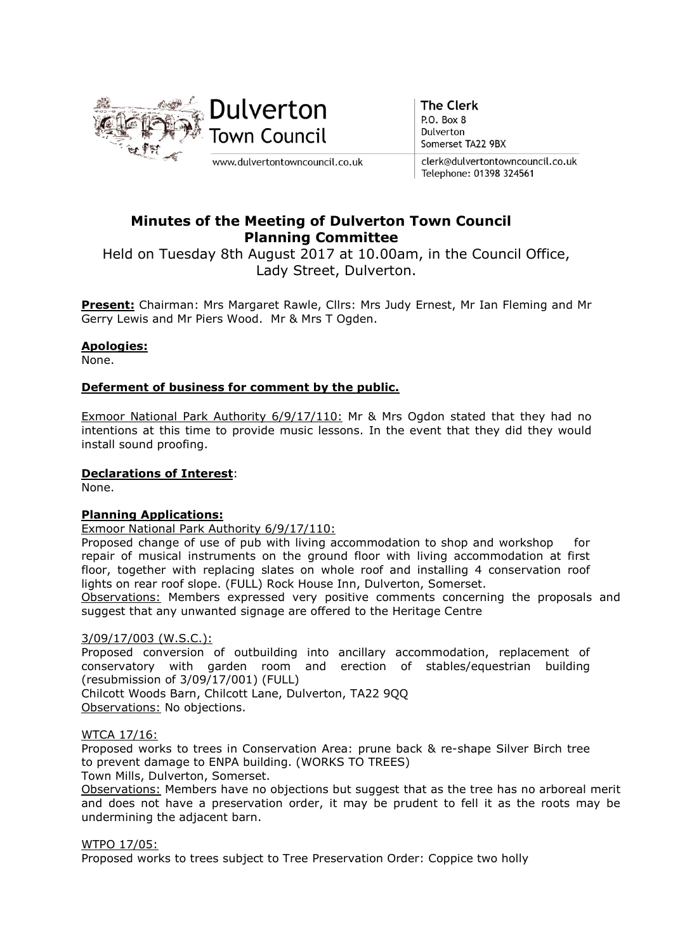

**The Clerk** P.O. Box 8 Dulverton Somerset TA22 9BX

clerk@dulvertontowncouncil.co.uk Telephone: 01398 324561

# Minutes of the Meeting of Dulverton Town Council Planning Committee

Held on Tuesday 8th August 2017 at 10.00am, in the Council Office, Lady Street, Dulverton.

Present: Chairman: Mrs Margaret Rawle, Cllrs: Mrs Judy Ernest, Mr Ian Fleming and Mr Gerry Lewis and Mr Piers Wood. Mr & Mrs T Ogden.

# Apologies:

None.

# Deferment of business for comment by the public.

Exmoor National Park Authority 6/9/17/110: Mr & Mrs Ogdon stated that they had no intentions at this time to provide music lessons. In the event that they did they would install sound proofing.

### Declarations of Interest:

None.

# Planning Applications:

Exmoor National Park Authority 6/9/17/110:

Proposed change of use of pub with living accommodation to shop and workshop for repair of musical instruments on the ground floor with living accommodation at first floor, together with replacing slates on whole roof and installing 4 conservation roof lights on rear roof slope. (FULL) Rock House Inn, Dulverton, Somerset.

Observations: Members expressed very positive comments concerning the proposals and suggest that any unwanted signage are offered to the Heritage Centre

### 3/09/17/003 (W.S.C.):

Proposed conversion of outbuilding into ancillary accommodation, replacement of conservatory with garden room and erection of stables/equestrian building (resubmission of 3/09/17/001) (FULL)

Chilcott Woods Barn, Chilcott Lane, Dulverton, TA22 9QQ Observations: No objections.

# WTCA 17/16:

Proposed works to trees in Conservation Area: prune back & re-shape Silver Birch tree to prevent damage to ENPA building. (WORKS TO TREES)

Town Mills, Dulverton, Somerset.

Observations: Members have no objections but suggest that as the tree has no arboreal merit and does not have a preservation order, it may be prudent to fell it as the roots may be undermining the adjacent barn.

### WTPO 17/05:

Proposed works to trees subject to Tree Preservation Order: Coppice two holly